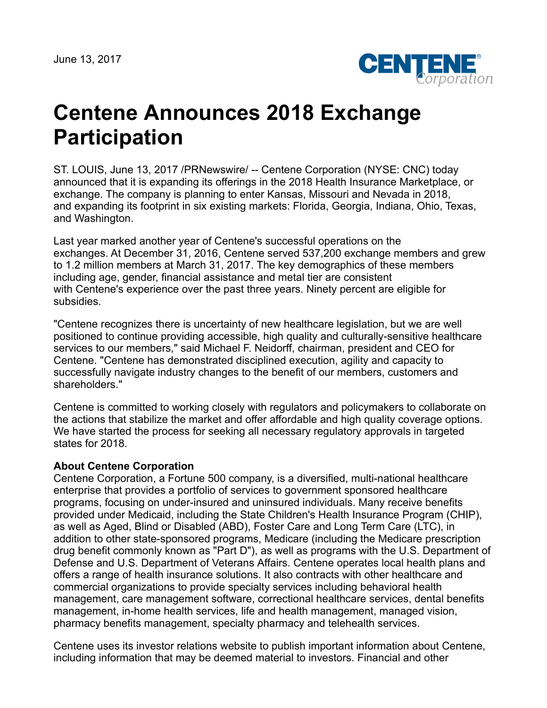

## **Centene Announces 2018 Exchange Participation**

ST. LOUIS, June 13, 2017 /PRNewswire/ -- Centene Corporation (NYSE: CNC) today announced that it is expanding its offerings in the 2018 Health Insurance Marketplace, or exchange. The company is planning to enter Kansas, Missouri and Nevada in 2018, and expanding its footprint in six existing markets: Florida, Georgia, Indiana, Ohio, Texas, and Washington.

Last year marked another year of Centene's successful operations on the exchanges. At December 31, 2016, Centene served 537,200 exchange members and grew to 1.2 million members at March 31, 2017. The key demographics of these members including age, gender, financial assistance and metal tier are consistent with Centene's experience over the past three years. Ninety percent are eligible for subsidies.

"Centene recognizes there is uncertainty of new healthcare legislation, but we are well positioned to continue providing accessible, high quality and culturally-sensitive healthcare services to our members," said Michael F. Neidorff, chairman, president and CEO for Centene. "Centene has demonstrated disciplined execution, agility and capacity to successfully navigate industry changes to the benefit of our members, customers and shareholders."

Centene is committed to working closely with regulators and policymakers to collaborate on the actions that stabilize the market and offer affordable and high quality coverage options. We have started the process for seeking all necessary regulatory approvals in targeted states for 2018.

## **About Centene Corporation**

Centene Corporation, a Fortune 500 company, is a diversified, multi-national healthcare enterprise that provides a portfolio of services to government sponsored healthcare programs, focusing on under-insured and uninsured individuals. Many receive benefits provided under Medicaid, including the State Children's Health Insurance Program (CHIP), as well as Aged, Blind or Disabled (ABD), Foster Care and Long Term Care (LTC), in addition to other state-sponsored programs, Medicare (including the Medicare prescription drug benefit commonly known as "Part D"), as well as programs with the U.S. Department of Defense and U.S. Department of Veterans Affairs. Centene operates local health plans and offers a range of health insurance solutions. It also contracts with other healthcare and commercial organizations to provide specialty services including behavioral health management, care management software, correctional healthcare services, dental benefits management, in-home health services, life and health management, managed vision, pharmacy benefits management, specialty pharmacy and telehealth services.

Centene uses its investor relations website to publish important information about Centene, including information that may be deemed material to investors. Financial and other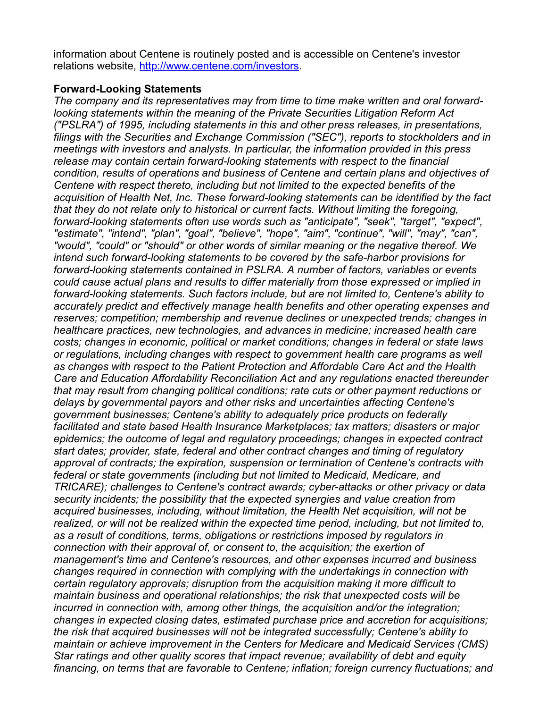information about Centene is routinely posted and is accessible on Centene's investor relations website, <http://www.centene.com/investors>.

## **Forward-Looking Statements**

*The company and its representatives may from time to time make written and oral forwardlooking statements within the meaning of the Private Securities Litigation Reform Act ("PSLRA") of 1995, including statements in this and other press releases, in presentations, filings with the Securities and Exchange Commission ("SEC"), reports to stockholders and in meetings with investors and analysts. In particular, the information provided in this press release may contain certain forward-looking statements with respect to the financial condition, results of operations and business of Centene and certain plans and objectives of Centene with respect thereto, including but not limited to the expected benefits of the acquisition of Health Net, Inc. These forward-looking statements can be identified by the fact that they do not relate only to historical or current facts. Without limiting the foregoing, forward-looking statements often use words such as "anticipate", "seek", "target", "expect", "estimate", "intend", "plan", "goal", "believe", "hope", "aim", "continue", "will", "may", "can", "would", "could" or "should" or other words of similar meaning or the negative thereof. We intend such forward-looking statements to be covered by the safe-harbor provisions for forward-looking statements contained in PSLRA. A number of factors, variables or events could cause actual plans and results to differ materially from those expressed or implied in forward-looking statements. Such factors include, but are not limited to, Centene's ability to accurately predict and effectively manage health benefits and other operating expenses and reserves; competition; membership and revenue declines or unexpected trends; changes in healthcare practices, new technologies, and advances in medicine; increased health care costs; changes in economic, political or market conditions; changes in federal or state laws or regulations, including changes with respect to government health care programs as well as changes with respect to the Patient Protection and Affordable Care Act and the Health Care and Education Affordability Reconciliation Act and any regulations enacted thereunder that may result from changing political conditions; rate cuts or other payment reductions or delays by governmental payors and other risks and uncertainties affecting Centene's government businesses; Centene's ability to adequately price products on federally facilitated and state based Health Insurance Marketplaces; tax matters; disasters or major epidemics; the outcome of legal and regulatory proceedings; changes in expected contract start dates; provider, state, federal and other contract changes and timing of regulatory approval of contracts; the expiration, suspension or termination of Centene's contracts with federal or state governments (including but not limited to Medicaid, Medicare, and TRICARE); challenges to Centene's contract awards; cyber-attacks or other privacy or data security incidents; the possibility that the expected synergies and value creation from acquired businesses, including, without limitation, the Health Net acquisition, will not be realized, or will not be realized within the expected time period, including, but not limited to, as a result of conditions, terms, obligations or restrictions imposed by regulators in connection with their approval of, or consent to, the acquisition; the exertion of management's time and Centene's resources, and other expenses incurred and business changes required in connection with complying with the undertakings in connection with certain regulatory approvals; disruption from the acquisition making it more difficult to maintain business and operational relationships; the risk that unexpected costs will be incurred in connection with, among other things, the acquisition and/or the integration; changes in expected closing dates, estimated purchase price and accretion for acquisitions; the risk that acquired businesses will not be integrated successfully; Centene's ability to maintain or achieve improvement in the Centers for Medicare and Medicaid Services (CMS) Star ratings and other quality scores that impact revenue; availability of debt and equity financing, on terms that are favorable to Centene; inflation; foreign currency fluctuations; and*